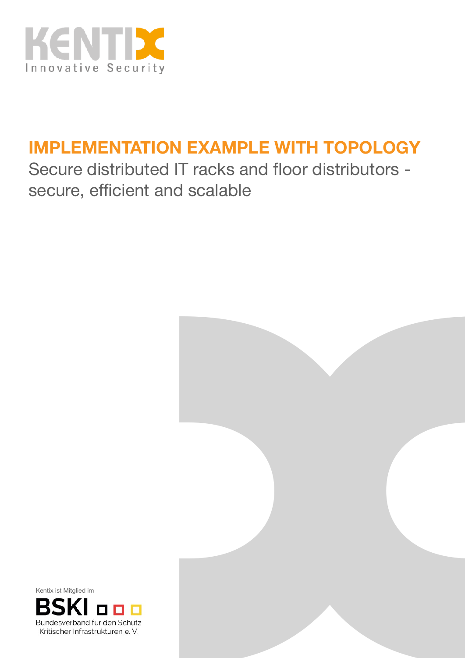

# **IMPLEMENTATION EXAMPLE WITH TOPOLOGY**

Secure distributed IT racks and floor distributors secure, efficient and scalable



Kentix ist Mitglied im

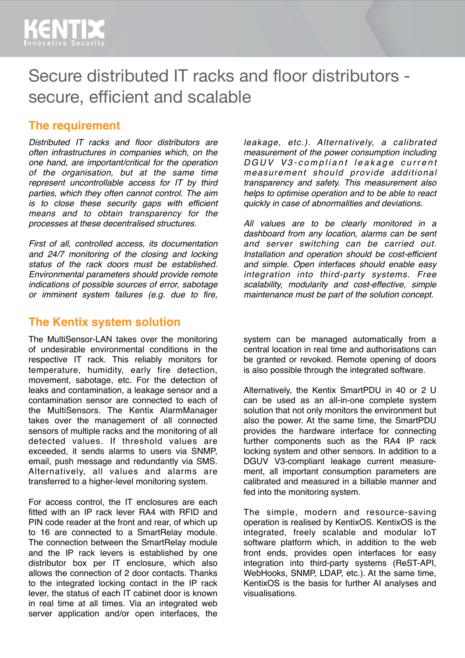# Secure distributed IT racks and floor distributors secure, efficient and scalable

### **The requirement**

*Distributed IT racks and floor distributors are often infrastructures in companies which, on the one hand, are important/critical for the operation of the organisation, but at the same time represent uncontrollable access for IT by third parties, which they often cannot control. The aim is to close these security gaps with efficient means and to obtain transparency for the processes at these decentralised structures.*

*First of all, controlled access, its documentation and 24/7 monitoring of the closing and locking status of the rack doors must be established. Environmental parameters should provide remote indications of possible sources of error, sabotage or imminent system failures (e.g. due to fire,* 

#### **The Kentix system solution**

The MultiSensor-LAN takes over the monitoring of undesirable environmental conditions in the respective IT rack. This reliably monitors for temperature, humidity, early fire detection, movement, sabotage, etc. For the detection of leaks and contamination, a leakage sensor and a contamination sensor are connected to each of the MultiSensors. The Kentix AlarmManager takes over the management of all connected sensors of multiple racks and the monitoring of all detected values. If threshold values are exceeded, it sends alarms to users via SNMP, email, push message and redundantly via SMS. Alternatively, all values and alarms are transferred to a higher-level monitoring system.

For access control, the IT enclosures are each fitted with an IP rack lever RA4 with RFID and PIN code reader at the front and rear, of which up to 16 are connected to a SmartRelay module. The connection between the SmartRelay module and the IP rack levers is established by one distributor box per IT enclosure, which also allows the connection of 2 door contacts. Thanks to the integrated locking contact in the IP rack lever, the status of each IT cabinet door is known in real time at all times. Via an integrated web server application and/or open interfaces, the

*leakage, etc.). Alternatively, a calibrated measurement of the power consumption including D G U V V 3 - compliant leakage current measurement should provide additional transparency and safety. This measurement also helps to optimise operation and to be able to react quickly in case of abnormalities and deviations.*

*All values are to be clearly monitored in a dashboard from any location, alarms can be sent and server switching can be carried out. Installation and operation should be cost-efficient and simple. Open interfaces should enable easy integration into third-party systems. Free scalability, modularity and cost-effective, simple maintenance must be part of the solution concept.*

system can be managed automatically from a central location in real time and authorisations can be granted or revoked. Remote opening of doors is also possible through the integrated software.

Alternatively, the Kentix SmartPDU in 40 or 2 U can be used as an all-in-one complete system solution that not only monitors the environment but also the power. At the same time, the SmartPDU provides the hardware interface for connecting further components such as the RA4 IP rack locking system and other sensors. In addition to a DGUV V3-compliant leakage current measurement, all important consumption parameters are calibrated and measured in a billable manner and fed into the monitoring system.

The simple, modern and resource-saving operation is realised by KentixOS. KentixOS is the integrated, freely scalable and modular IoT software platform which, in addition to the web front ends, provides open interfaces for easy integration into third-party systems (ReST-API, WebHooks, SNMP, LDAP, etc.). At the same time, KentixOS is the basis for further AI analyses and visualisations.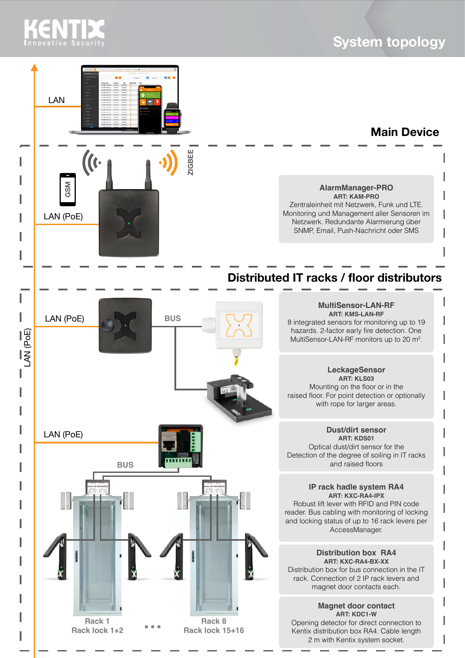